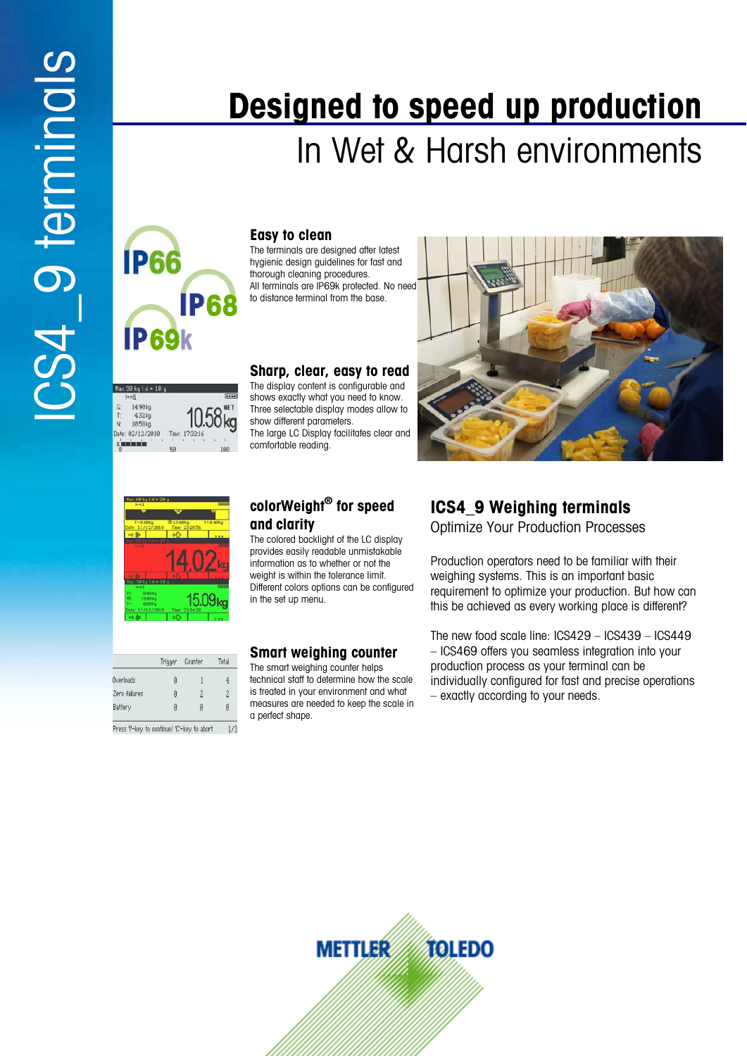# **IP66 IP68 IP69k**



## **Easy to clean**

The terminals are designed after latest hygienic design guidelines for fast and thorough cleaning procedures. All terminals are IP69k protected. No need to distance terminal from the base.

### **Sharp, clear, easy to read**

The display content is configurable and shows exactly what you need to know. Three selectable display modes allow to show different parameters. The large LC Display facilitates clear and comfortable reading.





#### Total Trioger Counte Overloads  $\overline{4}$ Zero failures  $\overline{2}$ Battery Ø

Press 'i'-key to continue/ 'C'-key to abort

## **colorWeight® for speed and clarity**

The colored backlight of the LC display provides easily readable unmistakable information as to whether or not the weight is within the tolerance limit. Different colors options can be configured in the set up menu.

## **Smart weighing counter**

The smart weighing counter helps technical staff to determine how the scale is treated in your environment and what measures are needed to keep the scale in a perfect shape.

## **ICS4\_9 Weighing terminals**

In Wet & Harsh environments

**Designed to speed up production**

Optimize Your Production Processes

Production operators need to be familiar with their weighing systems. This is an important basic requirement to optimize your production. But how can this be achieved as every working place is different?

The new food scale line: ICS429 – ICS439 – ICS449 – ICS469 offers you seamless integration into your production process as your terminal can be individually configured for fast and precise operations – exactly according to your needs.